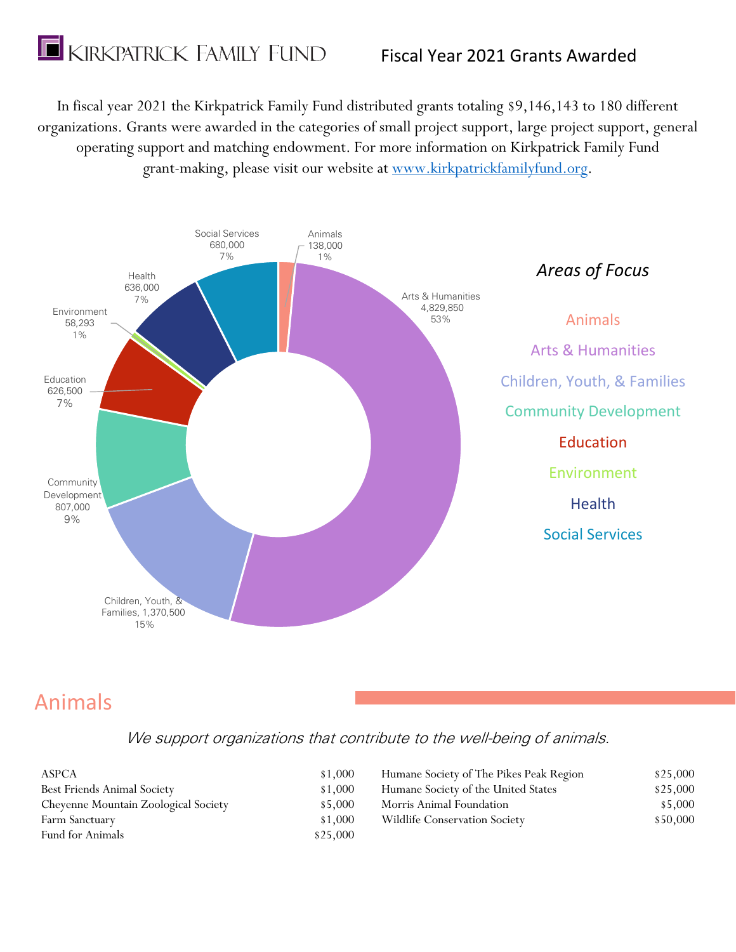

In fiscal year 2021 the Kirkpatrick Family Fund distributed grants totaling \$9,146,143 to 180 different organizations. Grants were awarded in the categories of small project support, large project support, general operating support and matching endowment. For more information on Kirkpatrick Family Fund grant-making, please visit our website at [www.kirkpatrickfamilyfund.org.](http://www.kirkpatrickfamilyfund.org/)



# Animals

We support organizations that contribute to the well-being of animals.

| ASPCA                                | \$1,000  | Humane Society of The Pikes Peak Region | \$25,000 |
|--------------------------------------|----------|-----------------------------------------|----------|
| Best Friends Animal Society          | \$1,000  | Humane Society of the United States     | \$25,000 |
| Cheyenne Mountain Zoological Society | \$5,000  | Morris Animal Foundation                | \$5,000  |
| Farm Sanctuary                       | \$1,000  | Wildlife Conservation Society           | \$50,000 |
| <b>Fund for Animals</b>              | \$25,000 |                                         |          |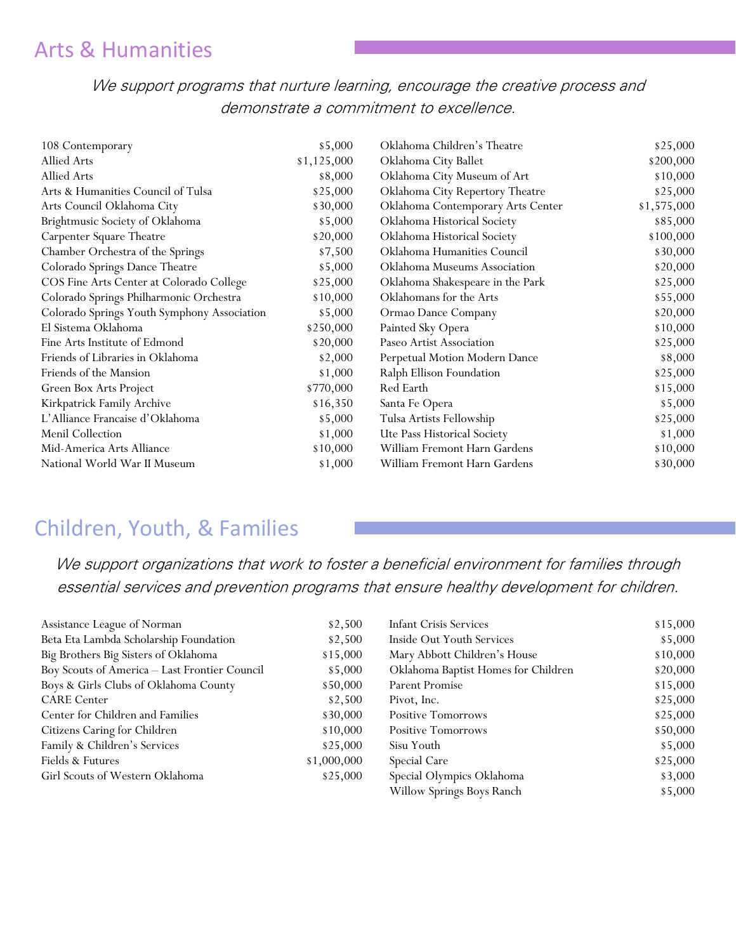## Arts & Humanities

We support programs that nurture learning, encourage the creative process and demonstrate a commitment to excellence.

| 108 Contemporary                            | \$5,000     | Oklahoma Children's Theatre       | \$25,000    |
|---------------------------------------------|-------------|-----------------------------------|-------------|
| Allied Arts                                 | \$1,125,000 | Oklahoma City Ballet              | \$200,000   |
| Allied Arts                                 | \$8,000     | Oklahoma City Museum of Art       | \$10,000    |
| Arts & Humanities Council of Tulsa          | \$25,000    | Oklahoma City Repertory Theatre   | \$25,000    |
| Arts Council Oklahoma City                  | \$30,000    | Oklahoma Contemporary Arts Center | \$1,575,000 |
| Brightmusic Society of Oklahoma             | \$5,000     | Oklahoma Historical Society       | \$85,000    |
| Carpenter Square Theatre                    | \$20,000    | Oklahoma Historical Society       | \$100,000   |
| Chamber Orchestra of the Springs            | \$7,500     | Oklahoma Humanities Council       | \$30,000    |
| Colorado Springs Dance Theatre              | \$5,000     | Oklahoma Museums Association      | \$20,000    |
| COS Fine Arts Center at Colorado College    | \$25,000    | Oklahoma Shakespeare in the Park  | \$25,000    |
| Colorado Springs Philharmonic Orchestra     | \$10,000    | Oklahomans for the Arts           | \$55,000    |
| Colorado Springs Youth Symphony Association | \$5,000     | Ormao Dance Company               | \$20,000    |
| El Sistema Oklahoma                         | \$250,000   | Painted Sky Opera                 | \$10,000    |
| Fine Arts Institute of Edmond               | \$20,000    | Paseo Artist Association          | \$25,000    |
| Friends of Libraries in Oklahoma            | \$2,000     | Perpetual Motion Modern Dance     | \$8,000     |
| Friends of the Mansion                      | \$1,000     | Ralph Ellison Foundation          | \$25,000    |
| Green Box Arts Project                      | \$770,000   | Red Earth                         | \$15,000    |
| Kirkpatrick Family Archive                  | \$16,350    | Santa Fe Opera                    | \$5,000     |
| L'Alliance Francaise d'Oklahoma             | \$5,000     | Tulsa Artists Fellowship          | \$25,000    |
| Menil Collection                            | \$1,000     | Ute Pass Historical Society       | \$1,000     |
| Mid-America Arts Alliance                   | \$10,000    | William Fremont Harn Gardens      | \$10,000    |
| National World War II Museum                | \$1,000     | William Fremont Harn Gardens      | \$30,000    |

### Children, Youth, & Families

We support organizations that work to foster a beneficial environment for families through essential services and prevention programs that ensure healthy development for children.

| Assistance League of Norman                   | \$2,500     | <b>Infant Crisis Services</b>       | \$15,000 |
|-----------------------------------------------|-------------|-------------------------------------|----------|
| Beta Eta Lambda Scholarship Foundation        | \$2,500     | Inside Out Youth Services           | \$5,000  |
| Big Brothers Big Sisters of Oklahoma          | \$15,000    | Mary Abbott Children's House        | \$10,000 |
| Boy Scouts of America - Last Frontier Council | \$5,000     | Oklahoma Baptist Homes for Children | \$20,000 |
| Boys & Girls Clubs of Oklahoma County         | \$50,000    | Parent Promise                      | \$15,000 |
| <b>CARE</b> Center                            | \$2,500     | Pivot, Inc.                         | \$25,000 |
| Center for Children and Families              | \$30,000    | <b>Positive Tomorrows</b>           | \$25,000 |
| Citizens Caring for Children                  | \$10,000    | <b>Positive Tomorrows</b>           | \$50,000 |
| Family & Children's Services                  | \$25,000    | Sisu Youth                          | \$5,000  |
| Fields & Futures                              | \$1,000,000 | Special Care                        | \$25,000 |
| Girl Scouts of Western Oklahoma               | \$25,000    | Special Olympics Oklahoma           | \$3,000  |
|                                               |             | Willow Springs Boys Ranch           | \$5,000  |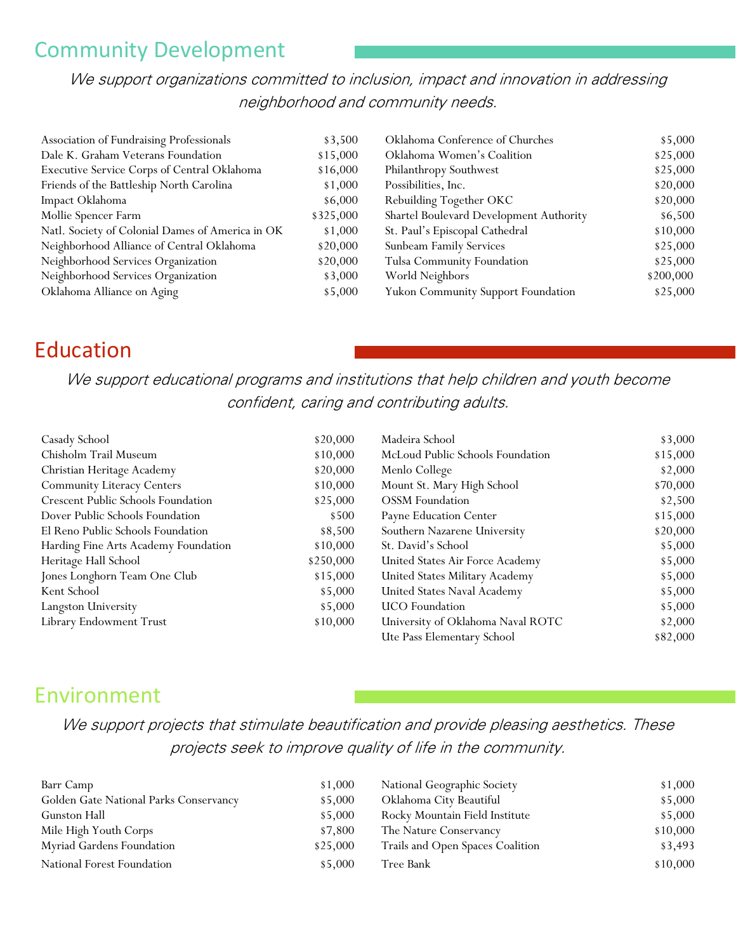### Community Development

We support organizations committed to inclusion, impact and innovation in addressing neighborhood and community needs.

| Association of Fundraising Professionals         | \$3,500   | Oklahoma Conference of Churches         | \$5,000   |
|--------------------------------------------------|-----------|-----------------------------------------|-----------|
| Dale K. Graham Veterans Foundation               | \$15,000  | Oklahoma Women's Coalition              | \$25,000  |
| Executive Service Corps of Central Oklahoma      | \$16,000  | Philanthropy Southwest                  | \$25,000  |
| Friends of the Battleship North Carolina         | \$1,000   | Possibilities, Inc.                     | \$20,000  |
| Impact Oklahoma                                  | \$6,000   | Rebuilding Together OKC                 | \$20,000  |
| Mollie Spencer Farm                              | \$325,000 | Shartel Boulevard Development Authority | \$6,500   |
| Natl. Society of Colonial Dames of America in OK | \$1,000   | St. Paul's Episcopal Cathedral          | \$10,000  |
| Neighborhood Alliance of Central Oklahoma        | \$20,000  | Sunbeam Family Services                 | \$25,000  |
| Neighborhood Services Organization               | \$20,000  | Tulsa Community Foundation              | \$25,000  |
| Neighborhood Services Organization               | \$3,000   | World Neighbors                         | \$200,000 |
| Oklahoma Alliance on Aging                       | \$5,000   | Yukon Community Support Foundation      | \$25,000  |

### Education

We support educational programs and institutions that help children and youth become confident, caring and contributing adults.

| Casady School                             | \$20,000  | Madeira School                    | \$3,000  |
|-------------------------------------------|-----------|-----------------------------------|----------|
| Chisholm Trail Museum                     | \$10,000  | McLoud Public Schools Foundation  | \$15,000 |
| Christian Heritage Academy                | \$20,000  | Menlo College                     | \$2,000  |
| <b>Community Literacy Centers</b>         | \$10,000  | Mount St. Mary High School        | \$70,000 |
| <b>Crescent Public Schools Foundation</b> | \$25,000  | <b>OSSM</b> Foundation            | \$2,500  |
| Dover Public Schools Foundation           | \$500     | Payne Education Center            | \$15,000 |
| El Reno Public Schools Foundation         | \$8,500   | Southern Nazarene University      | \$20,000 |
| Harding Fine Arts Academy Foundation      | \$10,000  | St. David's School                | \$5,000  |
| Heritage Hall School                      | \$250,000 | United States Air Force Academy   | \$5,000  |
| Jones Longhorn Team One Club              | \$15,000  | United States Military Academy    | \$5,000  |
| Kent School                               | \$5,000   | United States Naval Academy       | \$5,000  |
| Langston University                       | \$5,000   | <b>UCO</b> Foundation             | \$5,000  |
| Library Endowment Trust                   | \$10,000  | University of Oklahoma Naval ROTC | \$2,000  |
|                                           |           | Ute Pass Elementary School        | \$82,000 |

### Environment

We support projects that stimulate beautification and provide pleasing aesthetics. These projects seek to improve quality of life in the community.

| Barr Camp                              | \$1,000  | National Geographic Society      | \$1,000  |
|----------------------------------------|----------|----------------------------------|----------|
| Golden Gate National Parks Conservancy | \$5,000  | Oklahoma City Beautiful          | \$5,000  |
| Gunston Hall                           | \$5,000  | Rocky Mountain Field Institute   | \$5,000  |
| Mile High Youth Corps                  | \$7,800  | The Nature Conservancy           | \$10,000 |
| Myriad Gardens Foundation              | \$25,000 | Trails and Open Spaces Coalition | \$3,493  |
| National Forest Foundation             | \$5,000  | Tree Bank                        | \$10,000 |